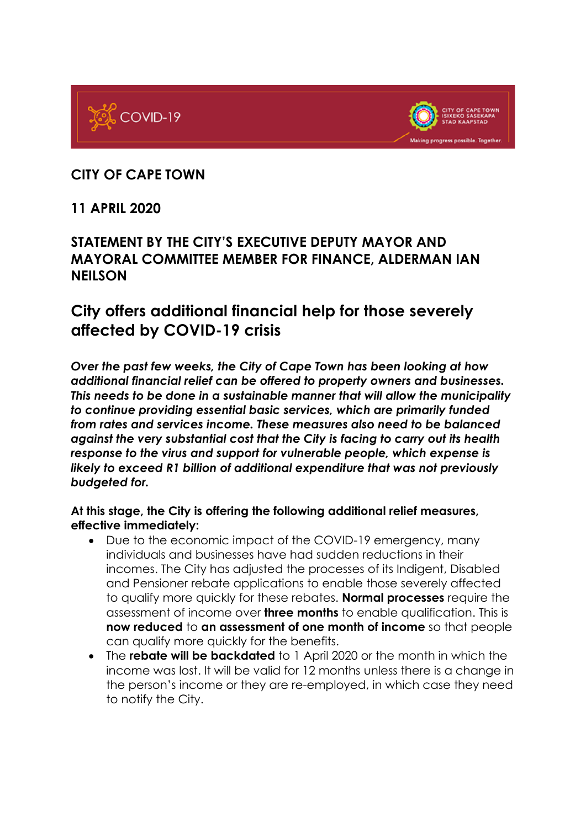



## **CITY OF CAPE TOWN**

## **11 APRIL 2020**

## **STATEMENT BY THE CITY'S EXECUTIVE DEPUTY MAYOR AND MAYORAL COMMITTEE MEMBER FOR FINANCE, ALDERMAN IAN NEILSON**

# **City offers additional financial help for those severely affected by COVID-19 crisis**

*Over the past few weeks, the City of Cape Town has been looking at how additional financial relief can be offered to property owners and businesses. This needs to be done in a sustainable manner that will allow the municipality to continue providing essential basic services, which are primarily funded from rates and services income. These measures also need to be balanced against the very substantial cost that the City is facing to carry out its health response to the virus and support for vulnerable people, which expense is likely to exceed R1 billion of additional expenditure that was not previously budgeted for.* 

#### **At this stage, the City is offering the following additional relief measures, effective immediately:**

- Due to the economic impact of the COVID-19 emergency, many individuals and businesses have had sudden reductions in their incomes. The City has adjusted the processes of its Indigent, Disabled and Pensioner rebate applications to enable those severely affected to qualify more quickly for these rebates. **Normal processes** require the assessment of income over **three months** to enable qualification. This is **now reduced** to **an assessment of one month of income** so that people can qualify more quickly for the benefits.
- The **rebate will be backdated** to 1 April 2020 or the month in which the income was lost. It will be valid for 12 months unless there is a change in the person's income or they are re-employed, in which case they need to notify the City.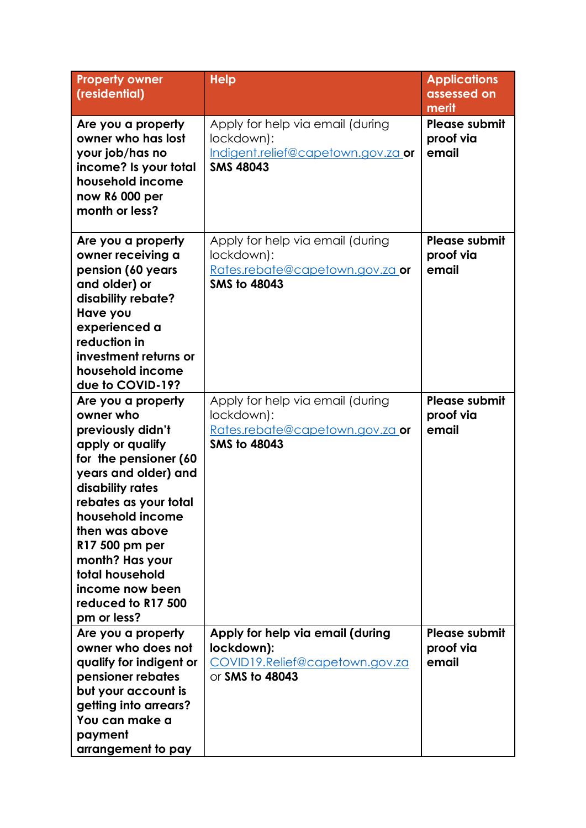| <b>Property owner</b><br>(residential)                                                                                                                                                                                                                                                                                       | <b>Help</b>                                                                                              | <b>Applications</b><br>assessed on<br>merit |
|------------------------------------------------------------------------------------------------------------------------------------------------------------------------------------------------------------------------------------------------------------------------------------------------------------------------------|----------------------------------------------------------------------------------------------------------|---------------------------------------------|
| Are you a property<br>owner who has lost<br>your job/has no<br>income? Is your total<br>household income<br>now R6 000 per<br>month or less?                                                                                                                                                                                 | Apply for help via email (during<br>lockdown):<br>Indigent.relief@capetown.gov.za or<br><b>SMS 48043</b> | <b>Please submit</b><br>proof via<br>email  |
| Are you a property<br>owner receiving a<br>pension (60 years<br>and older) or<br>disability rebate?<br>Have you<br>experienced a<br>reduction in<br>investment returns or<br>household income<br>due to COVID-19?                                                                                                            | Apply for help via email (during<br>lockdown):<br>Rates.rebate@capetown.gov.za_or<br><b>SMS to 48043</b> | <b>Please submit</b><br>proof via<br>email  |
| Are you a property<br>owner who<br>previously didn't<br>apply or qualify<br>for the pensioner (60<br>years and older) and<br>disability rates<br>rebates as your total<br>household income<br>then was above<br>R17 500 pm per<br>month? Has your<br>total household<br>income now been<br>reduced to R17 500<br>pm or less? | Apply for help via email (during<br>lockdown):<br>Rates.rebate@capetown.gov.za or<br><b>SMS to 48043</b> | Please submit<br>proof via<br>email         |
| Are you a property<br>owner who does not<br>qualify for indigent or<br>pensioner rebates<br>but your account is<br>getting into arrears?<br>You can make a<br>payment<br>arrangement to pay                                                                                                                                  | Apply for help via email (during<br>lockdown):<br>COVID19.Relief@capetown.gov.za<br>or SMS to 48043      | Please submit<br>proof via<br>email         |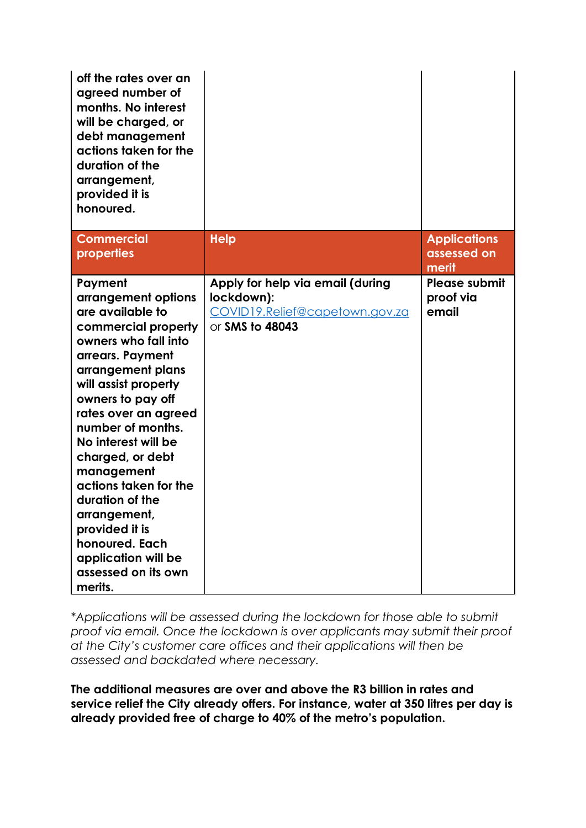| off the rates over an<br>agreed number of<br>months. No interest<br>will be charged, or<br>debt management<br>actions taken for the<br>duration of the<br>arrangement,<br>provided it is<br>honoured.                                                                                                                                                                                                                                                  |                                                                                                     |                                             |
|--------------------------------------------------------------------------------------------------------------------------------------------------------------------------------------------------------------------------------------------------------------------------------------------------------------------------------------------------------------------------------------------------------------------------------------------------------|-----------------------------------------------------------------------------------------------------|---------------------------------------------|
| <b>Commercial</b><br>properties                                                                                                                                                                                                                                                                                                                                                                                                                        | <b>Help</b>                                                                                         | <b>Applications</b><br>assessed on<br>merit |
| Payment<br>arrangement options<br>are available to<br>commercial property<br>owners who fall into<br>arrears. Payment<br>arrangement plans<br>will assist property<br>owners to pay off<br>rates over an agreed<br>number of months.<br>No interest will be<br>charged, or debt<br>management<br>actions taken for the<br>duration of the<br>arrangement,<br>provided it is<br>honoured. Each<br>application will be<br>assessed on its own<br>merits. | Apply for help via email (during<br>lockdown):<br>COVID19.Relief@capetown.gov.za<br>or SMS to 48043 | Please submit<br>proof via<br>email         |

*\*Applications will be assessed during the lockdown for those able to submit proof via email. Once the lockdown is over applicants may submit their proof at the City's customer care offices and their applications will then be assessed and backdated where necessary.*

**The additional measures are over and above the R3 billion in rates and service relief the City already offers. For instance, water at 350 litres per day is already provided free of charge to 40% of the metro's population.**